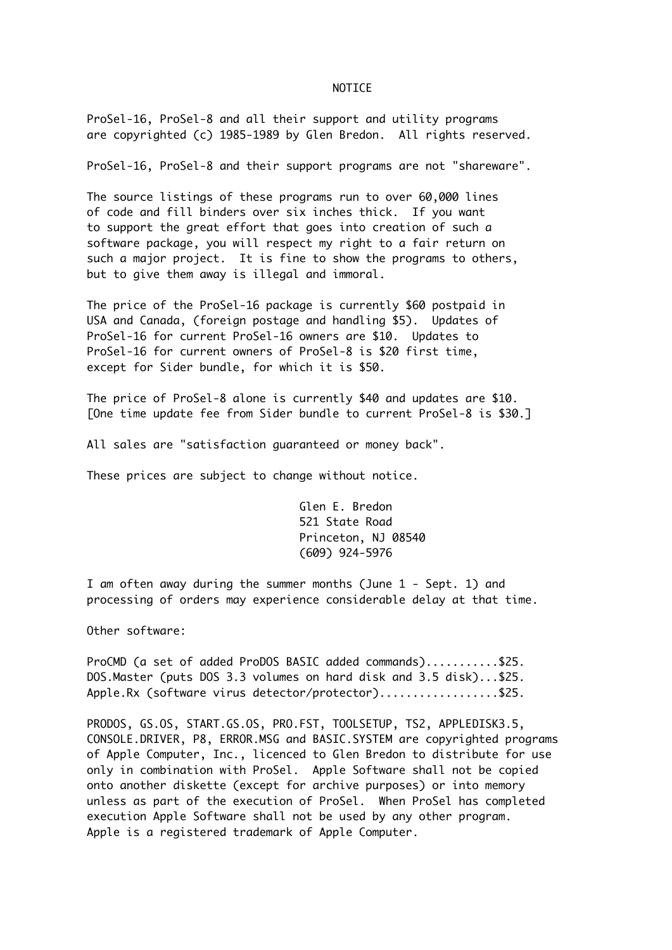## NOTICE

ProSel-16, ProSel-8 and all their support and utility programs are copyrighted (c) 1985-1989 by Glen Bredon. All rights reserved.

ProSel-16, ProSel-8 and their support programs are not "shareware".

The source listings of these programs run to over 60,000 lines of code and fill binders over six inches thick. If you want to support the great effort that goes into creation of such a software package, you will respect my right to a fair return on such a major project. It is fine to show the programs to others, but to give them away is illegal and immoral.

The price of the ProSel-16 package is currently \$60 postpaid in USA and Canada, (foreign postage and handling \$5). Updates of ProSel-16 for current ProSel-16 owners are \$10. Updates to ProSel-16 for current owners of ProSel-8 is \$20 first time, except for Sider bundle, for which it is \$50.

The price of ProSel-8 alone is currently \$40 and updates are \$10. [One time update fee from Sider bundle to current ProSel-8 is \$30.]

All sales are "satisfaction guaranteed or money back".

These prices are subject to change without notice.

Glen E. Bredon 521 State Road Princeton, NJ 08540 (609) 924-5976

I am often away during the summer months (June 1 - Sept. 1) and processing of orders may experience considerable delay at that time.

Other software:

ProCMD (a set of added ProDOS BASIC added commands)...........\$25. DOS.Master (puts DOS 3.3 volumes on hard disk and 3.5 disk)...\$25. Apple.Rx (software virus detector/protector)..................\$25.

PRODOS, GS.OS, START.GS.OS, PRO.FST, TOOLSETUP, TS2, APPLEDISK3.5, CONSOLE.DRIVER, P8, ERROR.MSG and BASIC.SYSTEM are copyrighted programs of Apple Computer, Inc., licenced to Glen Bredon to distribute for use only in combination with ProSel. Apple Software shall not be copied onto another diskette (except for archive purposes) or into memory unless as part of the execution of ProSel. When ProSel has completed execution Apple Software shall not be used by any other program. Apple is a registered trademark of Apple Computer.